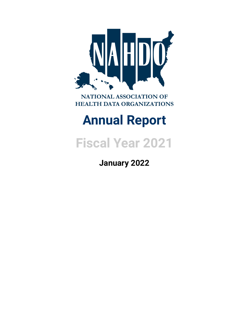

NATIONAL ASSOCIATION OF **HEALTH DATA ORGANIZATIONS** 

# **Annual Report**

**Fiscal Year 2021**

**January 2022**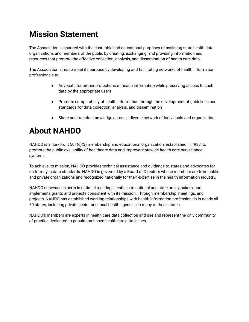## **Mission Statement**

The Association is charged with the charitable and educational purposes of assisting state health data organizations and members of the public by creating, exchanging, and providing information and resources that promote the effective collection, analysis, and dissemination of health care data.

The Association aims to meet its purpose by developing and facilitating networks of health information professionals to:

- Advocate for proper protections of health information while preserving access to such data by the appropriate users
- Promote comparability of health information through the development of guidelines and standards for data collection, analysis, and dissemination
- Share and transfer knowledge across a diverse network of individuals and organizations

### **About NAHDO**

NAHDO is a non-profit 501(c)(3) membership and educational organization, established in 1987, to promote the public availability of healthcare data and improve statewide health care surveillance systems.

To achieve its mission, NAHDO provides technical assistance and guidance to states and advocates for uniformity in data standards. NAHDO is governed by a Board of Directors whose members are from public and private organizations and recognized nationally for their expertise in the health information industry.

NAHDO convenes experts in national meetings, testifies to national and state policymakers, and implements grants and projects consistent with its mission. Through membership, meetings, and projects, NAHDO has established working relationships with health information professionals in nearly all 50 states, including private sector and local health agencies in many of these states.

NAHDO's members are experts in health care data collection and use and represent the only community of practice dedicated to population-based healthcare data issues.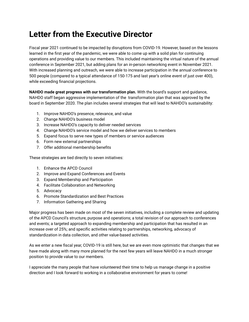### **Letter from the Executive Director**

Fiscal year 2021 continued to be impacted by disruptions from COVID-19. However, based on the lessons learned in the first year of the pandemic, we were able to come up with a solid plan for continuing operations and providing value to our members. This included maintaining the virtual nature of the annual conference in September 2021, but adding plans for an in-person networking event in November 2021. With increased planning and outreach, we were able to increase participation in the annual conference to 500 people (compared to a typical attendance of 150-175 and last year's online event of just over 400), while exceeding financial projections.

**NAHDO made great progress with our transformation plan.** With the board's support and guidance, NAHDO staff began aggressive implementation of the transformation plan that was approved by the board in September 2020. The plan includes several strategies that will lead to NAHDO's sustainability:

- 1. Improve NAHDO's presence, relevance, and value
- 2. Change NAHDO's business model
- 3. Increase NAHDO's capacity to deliver needed services
- 4. Change NAHDO's service model and how we deliver services to members
- 5. Expand focus to serve new types of members or service audiences
- 6. Form new external partnerships
- 7. Offer additional membership benefits

These strategies are tied directly to seven initiatives:

- 1. Enhance the APCD Council
- 2. Improve and Expand Conferences and Events
- 3. Expand Membership and Participation
- 4. Facilitate Collaboration and Networking
- 5. Advocacy
- 6. Promote Standardization and Best Practices
- 7. Information Gathering and Sharing

Major progress has been made on most of the seven initiatives, including a complete review and updating of the APCD Council's structure, purpose and operations; a total revision of our approach to conferences and events; a targeted approach to expanding membership and participation that has resulted in an increase over of 25%; and specific activities relating to partnerships, networking, advocacy of standardization in data collection, and other value-based activities.

As we enter a new fiscal year, COVID-19 is still here, but we are even more optimistic that changes that we have made along with many more planned for the next few years will leave NAHDO in a much stronger position to provide value to our members.

I appreciate the many people that have volunteered their time to help us manage change in a positive direction and I look forward to working in a collaborative environment for years to come!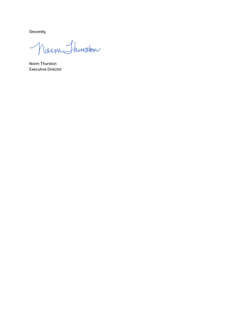Sincerely,

Norm Shurston

Norm Thurston Executive Director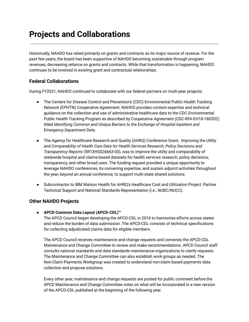### **Projects and Collaborations**

Historically, NAHDO has relied primarily on grants and contracts as its major source of revenue. For the past few years, the board has been supportive of NAHDO becoming sustainable through program revenues, decreasing reliance on grants and contracts. While that transformation is happening, NAHDO continues to be involved in existing grant and contractual relationships.

### **Federal Collaborations**

During FY2021, NAHDO continued to collaborate with our federal partners on multi-year projects:

- The Centers for Disease Control and Prevention's (CDC) Environmental Public Health Tracking Network (EPHTN) Cooperative Agreement: NAHDO provides content expertise and technical guidance on the collection and use of administrative healthcare data to the CDC Environmental Public Health Tracking Program as described by Cooperative Agreement (CDC-RFA-EH18-180202) titled *Identifying Common and Unique Barriers to the Exchange of Hospital Inpatient and Emergency Department Data*.
- The Agency for Healthcare Research and Quality (AHRQ) Conference Grant, *Improving the Utility and Comparability of Health Care Data for Health Services Research, Policy Decisions and Transparency Reports* (5R13HS026663-03), was to improve the utility and comparability of statewide hospital and claims-based datasets for health services research, policy decisions, transparency, and other broad uses. The funding request provided a unique opportunity to leverage NAHDO conferences, its convening expertise, and sustain adjunct activities throughout the year, beyond an annual conference, to support multi-state shared solutions.
- Subcontractor to IBM Watson Health for AHRQ's Healthcare Cost and Utilization Project: Partner Technical Support and National Standards Representation (i.e., NUBC/NUCC).

### **Other NAHDO Projects**

#### ● **APCD Common Data Layout (APCD-CDL)™**

The APCD Council began developing the APCD-CDL in 2016 to harmonize efforts across states and reduce the burden of data submission. The APCD-CDL consists of technical specifications for collecting adjudicated claims data for eligible members.

The APCD Council receives maintenance and change requests and convenes the APCD-CDL Maintenance and Change Committee to review and make recommendations. APCD Council staff consults national standards and data standards maintenance organizations to clarify requests. The Maintenance and Change Committee can also establish work groups as needed. The Non-Claim Payments Workgroup was created to understand non-claim based payments data collection and propose solutions.

Every other year, maintenance and change requests are posted for public comment before the APCD Maintenance and Change Committee votes on what will be incorporated in a new version of the APCD-CDL published at the beginning of the following year.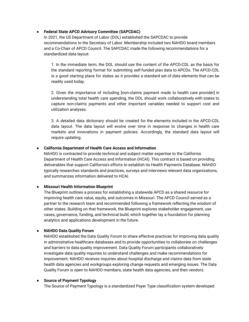#### ● **Federal State APCD Advisory Committee (SAPCDAC)**

In 2021, the US Department of Labor (DOL) established the SAPCDAC to provide recommendations to the Secretary of Labor. Membership included two NAHDO board members and a Co-Chair of APCD Council. The SAPCDAC made the following recommendations for a standardized data layout:

1. In the immediate term, the DOL should use the content of the APCD-CDL as the basis for the standard reporting format for submitting self-funded plan data to APCDs. The APCD-CDL is a good starting place for states as it provides a standard set of data elements that can be readily used today.

2. Given the importance of including [non-claims payment made to health care provider] in understanding total health care spending, the DOL should work collaboratively with states to capture non-claims payments and other important variables needed to support cost and utilization analyses.

3. A detailed data dictionary should be created for the elements included in the APCD-CDL data layout. The data layout will evolve over time in response to changes in health care markets and innovations in payment policies. Accordingly, the standard data layout will require updating.

#### ● **California Department of Health Care Access and Information**

NAHDO is contracted to provide technical and subject matter expertise to the California Department of Health Care Access and Information (HCAI). This contract is based on providing deliverables that support California's efforts to establish its Health Payments Database. NAHDO typically researches standards and practices, surveys and interviews relevant data organizations, and summarizes information delivered to HCAI.

#### ● **Missouri Health Information Blueprint**

The Blueprint outlines a process for establishing a statewide APCD as a shared resource for improving health care value, equity, and outcomes in Missouri. The APCD Council served as a partner to the research team and recommended following a framework reflecting the wisdom of other states. Building on that framework, the Blueprint explores stakeholder engagement, use cases, governance, funding, and technical build, which together lay a foundation for planning analytics and applications development in the future.

#### ● **NAHDO Data Quality Forum**

NAHDO established the Data Quality Forum to share effective practices for improving data quality in administrative healthcare databases and to provide opportunities to collaborate on challenges and barriers to data quality improvement. Data Quality Forum participants collaboratively investigate data quality inquiries to understand challenges and make recommendations for improvement. NAHDO receives inquiries about hospital discharge and claims data from state health data agencies and workgroups exploring change requests and emerging issues. The Data Quality Forum is open to NAHDO members, state health data agencies, and their vendors.

#### ● **Source of Payment Typology**

The Source of Payment Typology is a standardized Payer Type classification system developed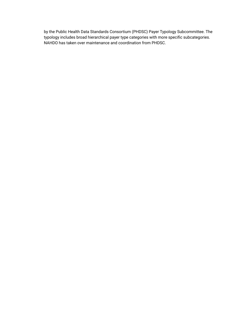by the Public Health Data Standards Consortium (PHDSC) Payer Typology Subcommittee. The typology includes broad hierarchical payer type categories with more specific subcategories. NAHDO has taken over maintenance and coordination from PHDSC.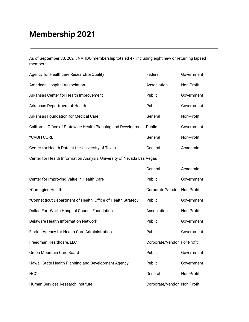# **Membership 2021**

As of September 30, 2021, NAHDO membership totaled 47, including eight new or returning lapsed members.

| Agency for Healthcare Research & Quality                               | Federal                     | Government |  |  |  |
|------------------------------------------------------------------------|-----------------------------|------------|--|--|--|
| Association<br>American Hospital Association                           |                             | Non-Profit |  |  |  |
| Arkansas Center for Health Improvement                                 | Government                  |            |  |  |  |
| Arkansas Department of Health                                          | Government                  |            |  |  |  |
| <b>Arkansas Foundation for Medical Care</b>                            | Non-Profit                  |            |  |  |  |
| California Office of Statewide Health Planning and Development Public  |                             | Government |  |  |  |
| *CAQH CORE                                                             | General                     | Non-Profit |  |  |  |
| Center for Health Data at the University of Texas                      | General                     | Academic   |  |  |  |
| Center for Health Information Analysis, University of Nevada Las Vegas |                             |            |  |  |  |
|                                                                        | General                     | Academic   |  |  |  |
| Center for Improving Value in Health Care                              | Public                      | Government |  |  |  |
| *Comagine Health                                                       | Corporate/Vendor Non-Profit |            |  |  |  |
| *Connecticut Department of Health, Office of Health Strategy           | Public                      | Government |  |  |  |
| Dallas-Fort Worth Hospital Council Foundation                          | Association                 | Non-Profit |  |  |  |
| <b>Delaware Health Information Network</b>                             | Public                      | Government |  |  |  |
| Florida Agency for Health Care Administration                          | Public                      | Government |  |  |  |
| Freedman Healthcare, LLC                                               | Corporate/Vendor For Profit |            |  |  |  |
| Green Mountain Care Board                                              | Public                      | Government |  |  |  |
| Hawaii State Health Planning and Development Agency                    | Public                      | Government |  |  |  |
| <b>HCCI</b>                                                            | General                     | Non-Profit |  |  |  |
| Human Services Research Institute                                      | Corporate/Vendor Non-Profit |            |  |  |  |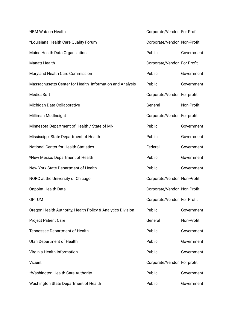| *IBM Watson Health                                          | Corporate/Vendor For Profit |            |
|-------------------------------------------------------------|-----------------------------|------------|
| *Louisiana Health Care Quality Forum                        | Corporate/Vendor Non-Profit |            |
| Maine Health Data Organization                              | Public                      | Government |
| <b>Manatt Health</b>                                        | Corporate/Vendor For Profit |            |
| Maryland Health Care Commission                             | Public                      | Government |
| Massachusetts Center for Health Information and Analysis    | Public                      | Government |
| MedicaSoft                                                  | Corporate/Vendor For profit |            |
| Michigan Data Collaborative                                 | General                     | Non-Profit |
| Milliman MedInsight                                         | Corporate/Vendor For profit |            |
| Minnesota Department of Health / State of MN                | Public                      | Government |
| Mississippi State Department of Health                      | Public                      | Government |
| <b>National Center for Health Statistics</b>                | Federal                     | Government |
| *New Mexico Department of Health                            | Public                      | Government |
| New York State Department of Health                         | Public                      | Government |
| NORC at the University of Chicago                           | Corporate/Vendor Non-Profit |            |
| <b>Onpoint Health Data</b>                                  | Corporate/Vendor Non-Profit |            |
| <b>OPTUM</b>                                                | Corporate/Vendor For Profit |            |
| Oregon Health Authority, Health Policy & Analytics Division | Public                      | Government |
| <b>Project Patient Care</b>                                 | General                     | Non-Profit |
| Tennessee Department of Health                              | Public                      | Government |
| Utah Department of Health                                   | Public                      | Government |
| Virginia Health Information                                 | Public                      | Government |
| Vizient                                                     | Corporate/Vendor For profit |            |
| *Washington Health Care Authority                           | Public                      | Government |
| Washington State Department of Health                       | Public                      | Government |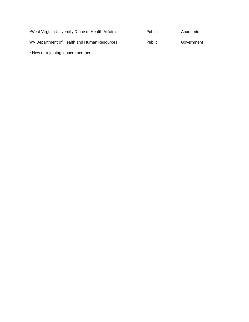| *West Virginia University Office of Health Affairs | <b>Public</b> | Academic   |
|----------------------------------------------------|---------------|------------|
| WV Department of Health and Human Resources        | <b>Public</b> | Government |
| * New or rejoining lapsed members                  |               |            |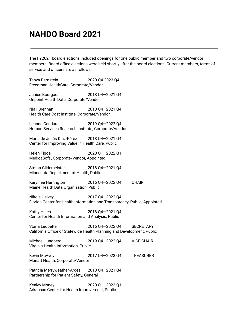### **NAHDO Board 2021**

The FY2021 board elections included openings for one public member and two corporate/vendor members. Board office elections were held shortly after the board elections. Current members, terms of service and officers are as follows:

Tanya Bernstein 2020 Q4-2023 Q4 Freedman HealthCare, Corporate/Vendor

Janice Bourgault 2018 Q4—2021 Q4 Onpoint Health Data, Corporate/Vendor

Niall Brennan 2018 Q4—2021 Q4 Health Care Cost Institute, Corporate/Vendor

Leanne Candura 2019 Q4—2022 Q4 Human Services Research Institute, Corporate/Vendor

María de Jesús Díaz-Pérez 2018 Q4—2021 Q4 Center for Improving Value in Health Care, Public

Helen Figge 2020 Q1—2022 Q1 MedicaSoft , Corporate/Vendor, Appointed

Stefan Gildemeister 2018 Q4—2021 Q4 Minnesota Department of Health, Public

Karynlee Harrington 2016 Q4—2022 Q4 CHAIR Maine Health Data Organization, Public

Nikole Helvey 2017 Q4—2022 Q4 Florida Center for Health Information and Transparency, Public, Appointed

Kathy Hines 2018 Q4—2021 Q4 Center for Health Information and Analysis, Public

Starla Ledbetter 2016 Q4—2022 Q4 SECRETARY California Office of Statewide Health Planning and Development, Public

Michael Lundberg 2019 Q4—2022 Q4 VICE CHAIR Virginia Health Information, Public

Kevin McAvey 2017 Q4—2023 Q4 TREASURER Manatt Health, Corporate/Vendor

Patricia Merryweather-Arges 2018 Q4-2021 Q4 Partnership for Patient Safety, General

Kenley Money 2020 Q1—2023 Q1 Arkansas Center for Health Improvement, Public